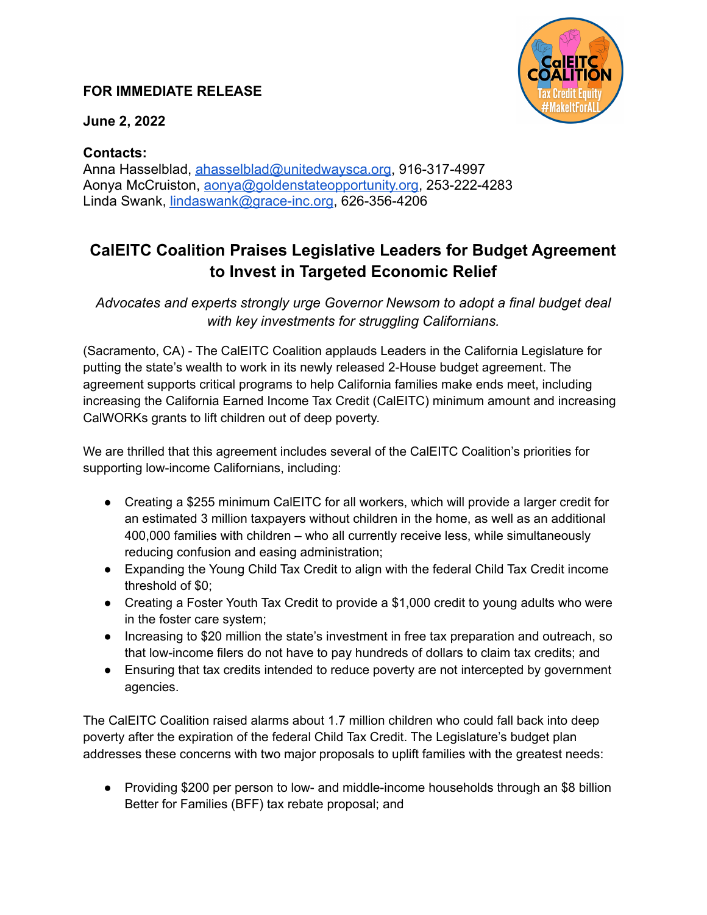## **FOR IMMEDIATE RELEASE**



**June 2, 2022**

## **Contacts:**

Anna Hasselblad, [ahasselblad@unitedwaysca.org](mailto:ahasselblad@unitedwaysca.org), 916-317-4997 Aonya McCruiston, [aonya@goldenstateopportunity.org,](mailto:aonya@goldenstateopportunity.org) 253-222-4283 Linda Swank, [lindaswank@grace-inc.org,](mailto:lindaswank@grace-inc.org) 626-356-4206

## **CalEITC Coalition Praises Legislative Leaders for Budget Agreement to Invest in Targeted Economic Relief**

*Advocates and experts strongly urge Governor Newsom to adopt a final budget deal with key investments for struggling Californians.*

(Sacramento, CA) - The CalEITC Coalition applauds Leaders in the California Legislature for putting the state's wealth to work in its newly released 2-House budget agreement. The agreement supports critical programs to help California families make ends meet, including increasing the California Earned Income Tax Credit (CalEITC) minimum amount and increasing CalWORKs grants to lift children out of deep poverty.

We are thrilled that this agreement includes several of the CalEITC Coalition's priorities for supporting low-income Californians, including:

- Creating a \$255 minimum CalEITC for all workers, which will provide a larger credit for an estimated 3 million taxpayers without children in the home, as well as an additional 400,000 families with children – who all currently receive less, while simultaneously reducing confusion and easing administration;
- Expanding the Young Child Tax Credit to align with the federal Child Tax Credit income threshold of \$0;
- Creating a Foster Youth Tax Credit to provide a \$1,000 credit to young adults who were in the foster care system;
- Increasing to \$20 million the state's investment in free tax preparation and outreach, so that low-income filers do not have to pay hundreds of dollars to claim tax credits; and
- Ensuring that tax credits intended to reduce poverty are not intercepted by government agencies.

The CalEITC Coalition raised alarms about 1.7 million children who could fall back into deep poverty after the expiration of the federal Child Tax Credit. The Legislature's budget plan addresses these concerns with two major proposals to uplift families with the greatest needs:

● Providing \$200 per person to low- and middle-income households through an \$8 billion Better for Families (BFF) tax rebate proposal; and